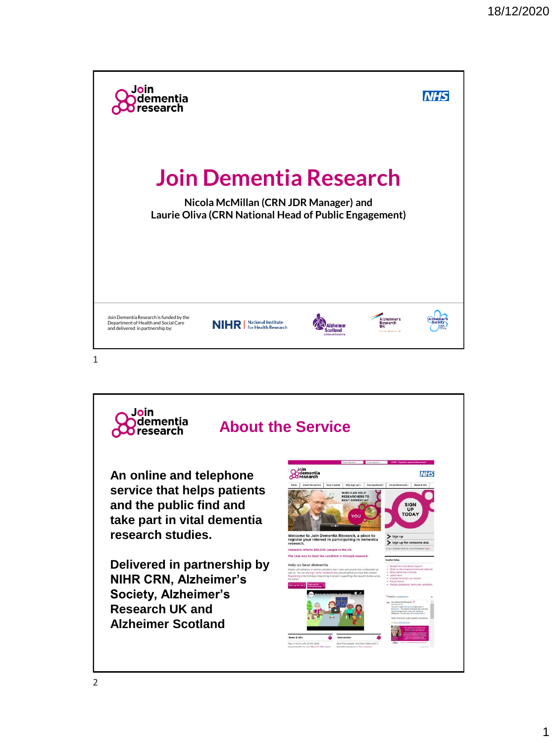

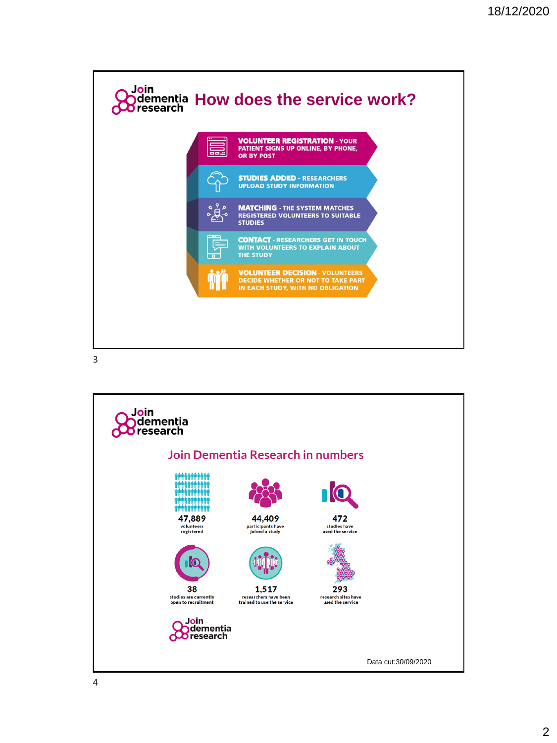

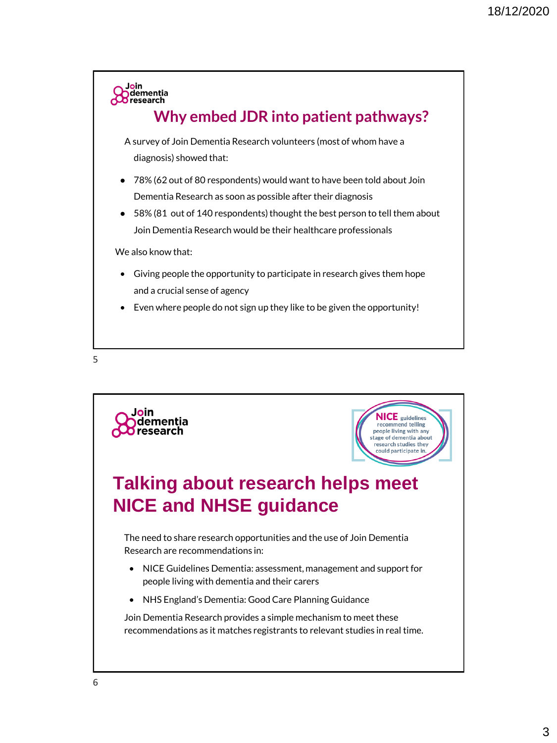

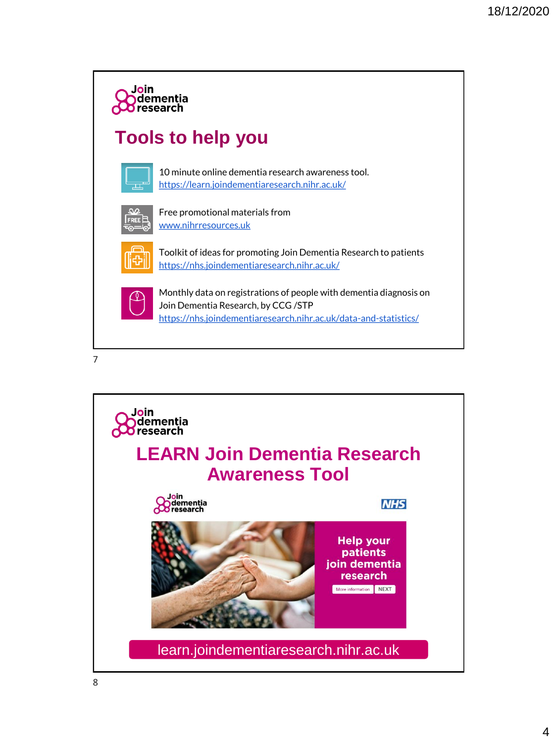